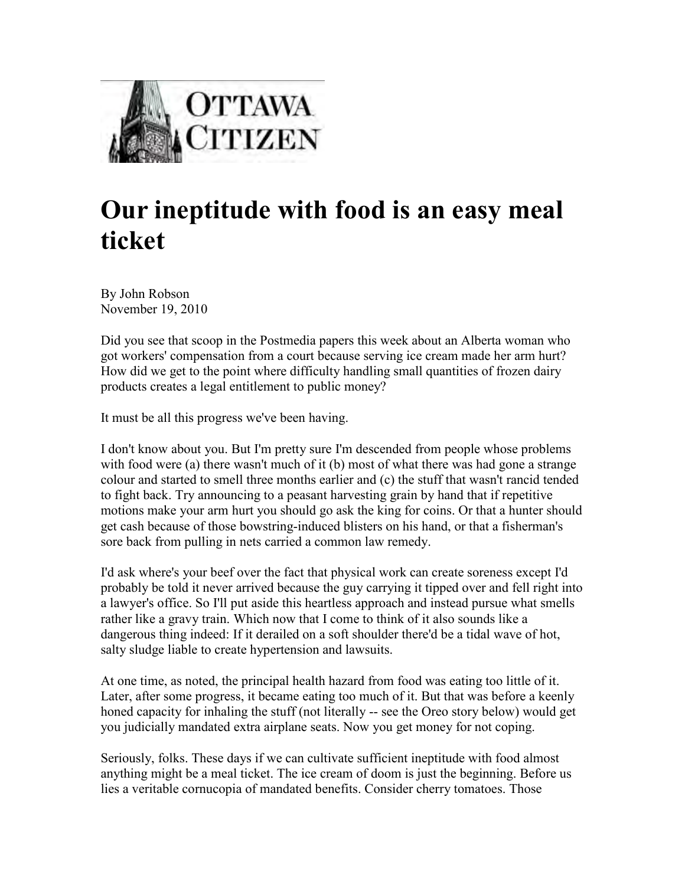

## **Our ineptitude with food is an easy meal ticket**

By John Robson November 19, 2010

Did you see that scoop in the Postmedia papers this week about an Alberta woman who got workers' compensation from a court because serving ice cream made her arm hurt? How did we get to the point where difficulty handling small quantities of frozen dairy products creates a legal entitlement to public money?

It must be all this progress we've been having.

I don't know about you. But I'm pretty sure I'm descended from people whose problems with food were (a) there wasn't much of it (b) most of what there was had gone a strange colour and started to smell three months earlier and (c) the stuff that wasn't rancid tended to fight back. Try announcing to a peasant harvesting grain by hand that if repetitive motions make your arm hurt you should go ask the king for coins. Or that a hunter should get cash because of those bowstring-induced blisters on his hand, or that a fisherman's sore back from pulling in nets carried a common law remedy.

I'd ask where's your beef over the fact that physical work can create soreness except I'd probably be told it never arrived because the guy carrying it tipped over and fell right into a lawyer's office. So I'll put aside this heartless approach and instead pursue what smells rather like a gravy train. Which now that I come to think of it also sounds like a dangerous thing indeed: If it derailed on a soft shoulder there'd be a tidal wave of hot, salty sludge liable to create hypertension and lawsuits.

At one time, as noted, the principal health hazard from food was eating too little of it. Later, after some progress, it became eating too much of it. But that was before a keenly honed capacity for inhaling the stuff (not literally -- see the Oreo story below) would get you judicially mandated extra airplane seats. Now you get money for not coping.

Seriously, folks. These days if we can cultivate sufficient ineptitude with food almost anything might be a meal ticket. The ice cream of doom is just the beginning. Before us lies a veritable cornucopia of mandated benefits. Consider cherry tomatoes. Those